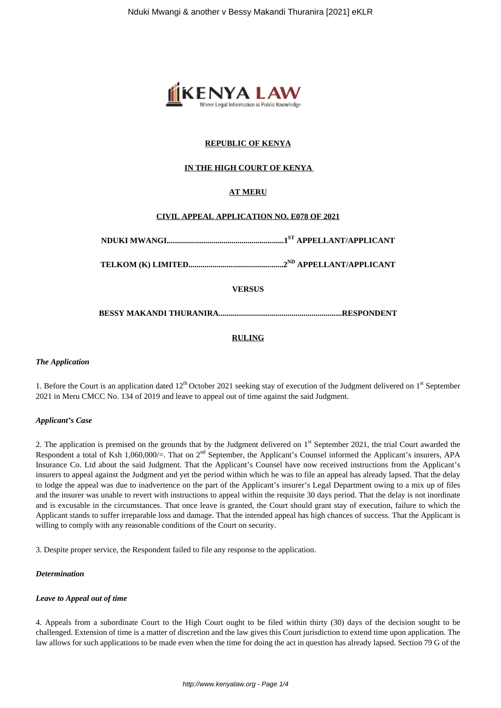

## **REPUBLIC OF KENYA**

## **IN THE HIGH COURT OF KENYA**

## **AT MERU**

### **CIVIL APPEAL APPLICATION NO. E078 OF 2021**

**NDUKI MWANGI..........................................................1ST APPELLANT/APPLICANT**

**TELKOM (K) LIMITED...............................................2ND APPELLANT/APPLICANT**

**VERSUS**

**BESSY MAKANDI THURANIRA.............................................................RESPONDENT**

### **RULING**

#### *The Application*

1. Before the Court is an application dated  $12<sup>th</sup>$  October 2021 seeking stay of execution of the Judgment delivered on  $1<sup>st</sup>$  September 2021 in Meru CMCC No. 134 of 2019 and leave to appeal out of time against the said Judgment.

#### *Applicant's Case*

2. The application is premised on the grounds that by the Judgment delivered on 1<sup>st</sup> September 2021, the trial Court awarded the Respondent a total of Ksh 1,060,000/=. That on  $2<sup>nd</sup>$  September, the Applicant's Counsel informed the Applicant's insurers, APA Insurance Co. Ltd about the said Judgment. That the Applicant's Counsel have now received instructions from the Applicant's insurers to appeal against the Judgment and yet the period within which he was to file an appeal has already lapsed. That the delay to lodge the appeal was due to inadvertence on the part of the Applicant's insurer's Legal Department owing to a mix up of files and the insurer was unable to revert with instructions to appeal within the requisite 30 days period. That the delay is not inordinate and is excusable in the circumstances. That once leave is granted, the Court should grant stay of execution, failure to which the Applicant stands to suffer irreparable loss and damage. That the intended appeal has high chances of success. That the Applicant is willing to comply with any reasonable conditions of the Court on security.

3. Despite proper service, the Respondent failed to file any response to the application.

#### *Determination*

#### *Leave to Appeal out of time*

4. Appeals from a subordinate Court to the High Court ought to be filed within thirty (30) days of the decision sought to be challenged. Extension of time is a matter of discretion and the law gives this Court jurisdiction to extend time upon application. The law allows for such applications to be made even when the time for doing the act in question has already lapsed. Section 79 G of the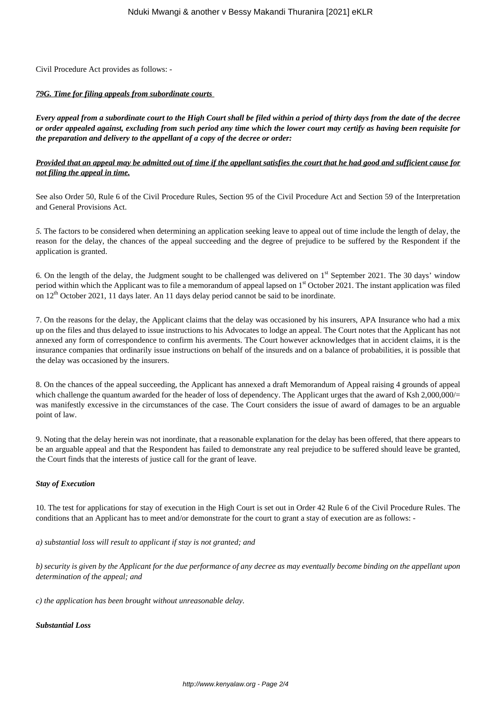Civil Procedure Act provides as follows: -

#### *79G. Time for filing appeals from subordinate courts*

*Every appeal from a subordinate court to the High Court shall be filed within a period of thirty days from the date of the decree or order appealed against, excluding from such period any time which the lower court may certify as having been requisite for the preparation and delivery to the appellant of a copy of the decree or order:* 

## *Provided that an appeal may be admitted out of time if the appellant satisfies the court that he had good and sufficient cause for not filing the appeal in time.*

See also Order 50, Rule 6 of the Civil Procedure Rules, Section 95 of the Civil Procedure Act and Section 59 of the Interpretation and General Provisions Act.

*5.* The factors to be considered when determining an application seeking leave to appeal out of time include the length of delay, the reason for the delay, the chances of the appeal succeeding and the degree of prejudice to be suffered by the Respondent if the application is granted.

6. On the length of the delay, the Judgment sought to be challenged was delivered on  $1<sup>st</sup>$  September 2021. The 30 days' window period within which the Applicant was to file a memorandum of appeal lapsed on  $1<sup>st</sup>$  October 2021. The instant application was filed on  $12<sup>th</sup>$  October 2021, 11 days later. An 11 days delay period cannot be said to be inordinate.

7. On the reasons for the delay, the Applicant claims that the delay was occasioned by his insurers, APA Insurance who had a mix up on the files and thus delayed to issue instructions to his Advocates to lodge an appeal. The Court notes that the Applicant has not annexed any form of correspondence to confirm his averments. The Court however acknowledges that in accident claims, it is the insurance companies that ordinarily issue instructions on behalf of the insureds and on a balance of probabilities, it is possible that the delay was occasioned by the insurers.

8. On the chances of the appeal succeeding, the Applicant has annexed a draft Memorandum of Appeal raising 4 grounds of appeal which challenge the quantum awarded for the header of loss of dependency. The Applicant urges that the award of Ksh 2,000,000/= was manifestly excessive in the circumstances of the case. The Court considers the issue of award of damages to be an arguable point of law.

9. Noting that the delay herein was not inordinate, that a reasonable explanation for the delay has been offered, that there appears to be an arguable appeal and that the Respondent has failed to demonstrate any real prejudice to be suffered should leave be granted, the Court finds that the interests of justice call for the grant of leave.

### *Stay of Execution*

10. The test for applications for stay of execution in the High Court is set out in Order 42 Rule 6 of the Civil Procedure Rules. The conditions that an Applicant has to meet and/or demonstrate for the court to grant a stay of execution are as follows: -

*a) substantial loss will result to applicant if stay is not granted; and* 

*b) security is given by the Applicant for the due performance of any decree as may eventually become binding on the appellant upon determination of the appeal; and*

*c) the application has been brought without unreasonable delay.* 

### *Substantial Loss*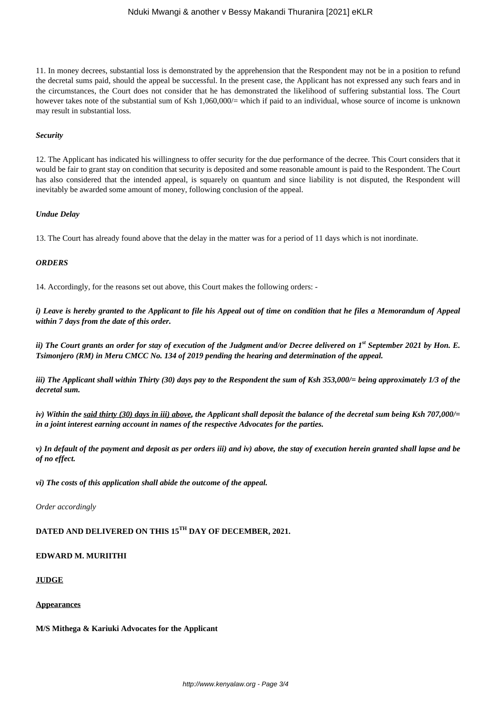#### Nduki Mwangi & another v Bessy Makandi Thuranira [2021] eKLR

11. In money decrees, substantial loss is demonstrated by the apprehension that the Respondent may not be in a position to refund the decretal sums paid, should the appeal be successful. In the present case, the Applicant has not expressed any such fears and in the circumstances, the Court does not consider that he has demonstrated the likelihood of suffering substantial loss. The Court however takes note of the substantial sum of Ksh 1,060,000/= which if paid to an individual, whose source of income is unknown may result in substantial loss.

#### *Security*

12. The Applicant has indicated his willingness to offer security for the due performance of the decree. This Court considers that it would be fair to grant stay on condition that security is deposited and some reasonable amount is paid to the Respondent. The Court has also considered that the intended appeal, is squarely on quantum and since liability is not disputed, the Respondent will inevitably be awarded some amount of money, following conclusion of the appeal.

#### *Undue Delay*

13. The Court has already found above that the delay in the matter was for a period of 11 days which is not inordinate.

#### *ORDERS*

14. Accordingly, for the reasons set out above, this Court makes the following orders: -

*i) Leave is hereby granted to the Applicant to file his Appeal out of time on condition that he files a Memorandum of Appeal within 7 days from the date of this order.*

*ii) The Court grants an order for stay of execution of the Judgment and/or Decree delivered on 1st September 2021 by Hon. E. Tsimonjero (RM) in Meru CMCC No. 134 of 2019 pending the hearing and determination of the appeal.*

*iii) The Applicant shall within Thirty (30) days pay to the Respondent the sum of Ksh 353,000/= being approximately 1/3 of the decretal sum.*

*iv) Within the said thirty (30) days in iii) above, the Applicant shall deposit the balance of the decretal sum being Ksh 707,000/= in a joint interest earning account in names of the respective Advocates for the parties.*

*v) In default of the payment and deposit as per orders iii) and iv) above, the stay of execution herein granted shall lapse and be of no effect.*

*vi) The costs of this application shall abide the outcome of the appeal.*

*Order accordingly*

# **DATED AND DELIVERED ON THIS 15TH DAY OF DECEMBER, 2021.**

# **EDWARD M. MURIITHI**

# **JUDGE**

# **Appearances**

# **M/S Mithega & Kariuki Advocates for the Applicant**